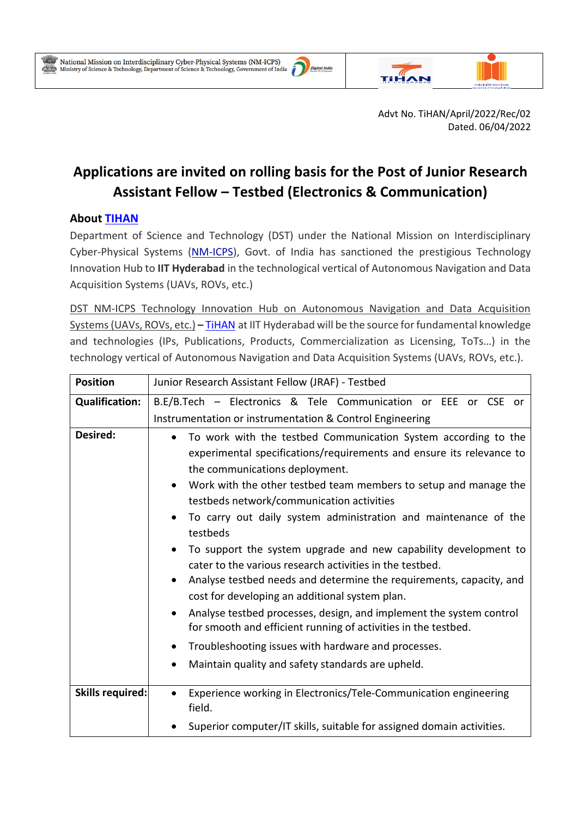

 $\overline{a}$ 



Advt No. TiHAN/April/2022/Rec/02 Dated. 06/04/2022

# **Applications are invited on rolling basis for the Post of Junior Research Assistant Fellow – Testbed (Electronics & Communication)**

## **About [TIHAN](https://tihan.iith.ac.in/)**

Department of Science and Technology (DST) under the National Mission on Interdisciplinary Cyber-Physical Systems [\(NM-ICPS\)](https://serbonline.in/ICPS/HomePage), Govt. of India has sanctioned the prestigious Technology Innovation Hub to **IIT Hyderabad** in the technological vertical of Autonomous Navigation and Data Acquisition Systems (UAVs, ROVs, etc.)

DST NM-ICPS Technology Innovation Hub on Autonomous Navigation and Data Acquisition Systems (UAVs, ROVs, etc.) **–** [TiHAN](https://tihan.iith.ac.in/) at IIT Hyderabad will be the source for fundamental knowledge and technologies (IPs, Publications, Products, Commercialization as Licensing, ToTs…) in the technology vertical of Autonomous Navigation and Data Acquisition Systems (UAVs, ROVs, etc.).

| <b>Position</b>         | Junior Research Assistant Fellow (JRAF) - Testbed                                                                                                                                                                                                                                                                                                                                                                                                                                                                                                                                                                                                                                                                                                                         |
|-------------------------|---------------------------------------------------------------------------------------------------------------------------------------------------------------------------------------------------------------------------------------------------------------------------------------------------------------------------------------------------------------------------------------------------------------------------------------------------------------------------------------------------------------------------------------------------------------------------------------------------------------------------------------------------------------------------------------------------------------------------------------------------------------------------|
| <b>Qualification:</b>   | B.E/B.Tech - Electronics & Tele Communication or EEE or CSE or                                                                                                                                                                                                                                                                                                                                                                                                                                                                                                                                                                                                                                                                                                            |
|                         | Instrumentation or instrumentation & Control Engineering                                                                                                                                                                                                                                                                                                                                                                                                                                                                                                                                                                                                                                                                                                                  |
| <b>Desired:</b>         | To work with the testbed Communication System according to the<br>experimental specifications/requirements and ensure its relevance to<br>the communications deployment.<br>Work with the other testbed team members to setup and manage the<br>testbeds network/communication activities<br>To carry out daily system administration and maintenance of the<br>testbeds<br>To support the system upgrade and new capability development to<br>cater to the various research activities in the testbed.<br>Analyse testbed needs and determine the requirements, capacity, and<br>cost for developing an additional system plan.<br>Analyse testbed processes, design, and implement the system control<br>for smooth and efficient running of activities in the testbed. |
|                         | Troubleshooting issues with hardware and processes.<br>$\bullet$                                                                                                                                                                                                                                                                                                                                                                                                                                                                                                                                                                                                                                                                                                          |
|                         | Maintain quality and safety standards are upheld.<br>$\bullet$                                                                                                                                                                                                                                                                                                                                                                                                                                                                                                                                                                                                                                                                                                            |
| <b>Skills required:</b> | Experience working in Electronics/Tele-Communication engineering<br>field.                                                                                                                                                                                                                                                                                                                                                                                                                                                                                                                                                                                                                                                                                                |
|                         | Superior computer/IT skills, suitable for assigned domain activities.                                                                                                                                                                                                                                                                                                                                                                                                                                                                                                                                                                                                                                                                                                     |